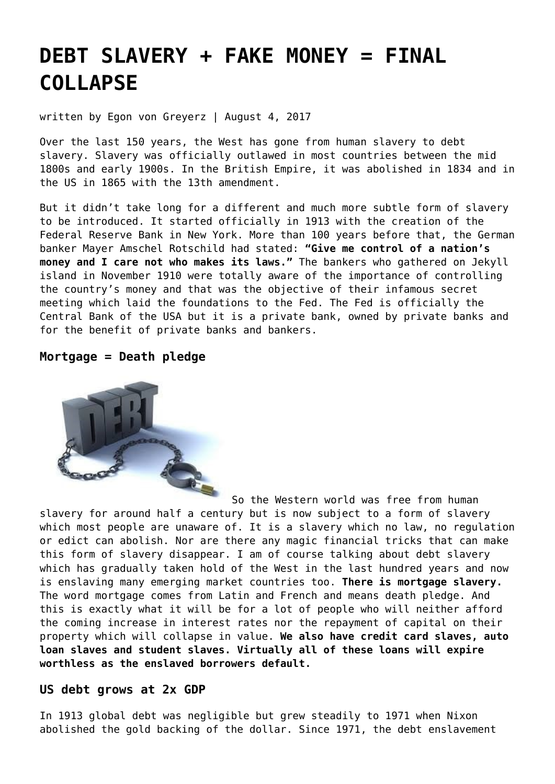# **[DEBT SLAVERY + FAKE MONEY = FINAL](https://goldswitzerland.com/debt-slavery-fake-money-final-collapse/) [COLLAPSE](https://goldswitzerland.com/debt-slavery-fake-money-final-collapse/)**

written by Egon von Greyerz | August 4, 2017

Over the last 150 years, the West has gone from human slavery to debt slavery. Slavery was officially outlawed in most countries between the mid 1800s and early 1900s. In the British Empire, it was abolished in 1834 and in the US in 1865 with the 13th amendment.

But it didn't take long for a different and much more subtle form of slavery to be introduced. It started officially in 1913 with the creation of the Federal Reserve Bank in New York. More than 100 years before that, the German banker Mayer Amschel Rotschild had stated: **"Give me control of a nation's money and I care not who makes its laws."** The bankers who gathered on Jekyll island in November 1910 were totally aware of the importance of controlling the country's money and that was the objective of their infamous secret meeting which laid the foundations to the Fed. The Fed is officially the Central Bank of the USA but it is a private bank, owned by private banks and for the benefit of private banks and bankers.

# **Mortgage = Death pledge**



So the Western world was free from human slavery for around half a century but is now subject to a form of slavery which most people are unaware of. It is a slavery which no law, no regulation or edict can abolish. Nor are there any magic financial tricks that can make this form of slavery disappear. I am of course talking about debt slavery which has gradually taken hold of the West in the last hundred years and now is enslaving many emerging market countries too. **There is mortgage slavery.** The word mortgage comes from Latin and French and means death pledge. And this is exactly what it will be for a lot of people who will neither afford the coming increase in interest rates nor the repayment of capital on their property which will collapse in value. **We also have credit card slaves, auto loan slaves and student slaves. Virtually all of these loans will expire worthless as the enslaved borrowers default.**

# **US debt grows at 2x GDP**

In 1913 global debt was negligible but grew steadily to 1971 when Nixon abolished the gold backing of the dollar. Since 1971, the debt enslavement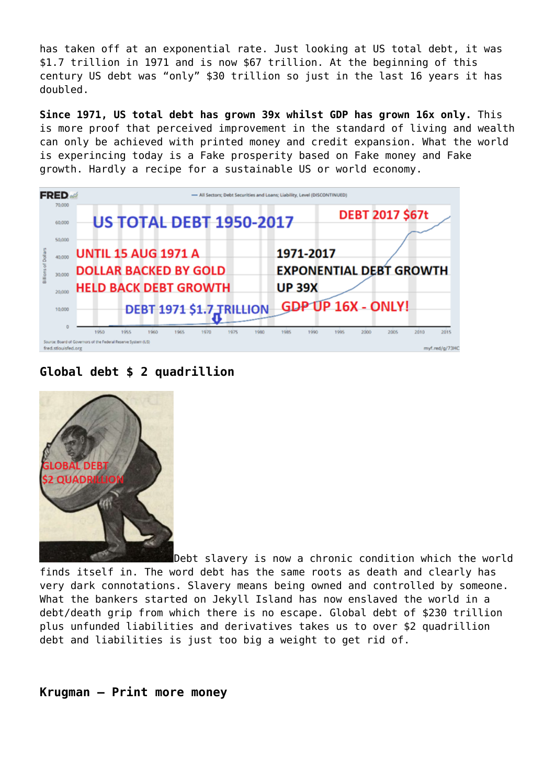has taken off at an exponential rate. Just looking at US total debt, it was \$1.7 trillion in 1971 and is now \$67 trillion. At the beginning of this century US debt was "only" \$30 trillion so just in the last 16 years it has doubled.

**Since 1971, US total debt has grown 39x whilst GDP has grown 16x only.** This is more proof that perceived improvement in the standard of living and wealth can only be achieved with printed money and credit expansion. What the world is experincing today is a Fake prosperity based on Fake money and Fake growth. Hardly a recipe for a sustainable US or world economy.

| <b>FRED</b>         | - All Sectors: Debt Securities and Loans: Liability, Level (DISCONTINUED)                                     |
|---------------------|---------------------------------------------------------------------------------------------------------------|
| 70,000<br>60,000    | <b>DEBT 2017 \$67t</b><br><b>US TOTAL DEBT 1950-2017</b>                                                      |
| 50,000              |                                                                                                               |
| 40,000              | <b>UNTIL 15 AUG 1971 A</b><br>1971-2017                                                                       |
| 30,000              | <b>EXPONENTIAL DEBT GROWTH</b><br><b>DOLLAR BACKED BY GOLD</b>                                                |
| 20,000              | <b>HELD BACK DEBT GROWTH</b><br><b>UP 39X</b>                                                                 |
| 10,000              | <b>GDP UP 16X - ONLY!</b><br>DEBT 1971 \$1.7 JRILLION                                                         |
|                     | 1980<br>2000<br>2005<br>2010<br>2015<br>1950<br>1955<br>1960<br>1965.<br>1970<br>1975<br>1985<br>1990<br>1995 |
| fred.stlouisfed.org | Source: Board of Governors of the Federal Reserve System (US)<br>myf.red/o/73H0                               |

**Global debt \$ 2 quadrillion**



Debt slavery is now a chronic condition which the world finds itself in. The word debt has the same roots as death and clearly has very dark connotations. Slavery means being owned and controlled by someone. What the bankers started on Jekyll Island has now enslaved the world in a debt/death grip from which there is no escape. Global debt of \$230 trillion plus unfunded liabilities and derivatives takes us to over \$2 quadrillion debt and liabilities is just too big a weight to get rid of.

# **Krugman – Print more money**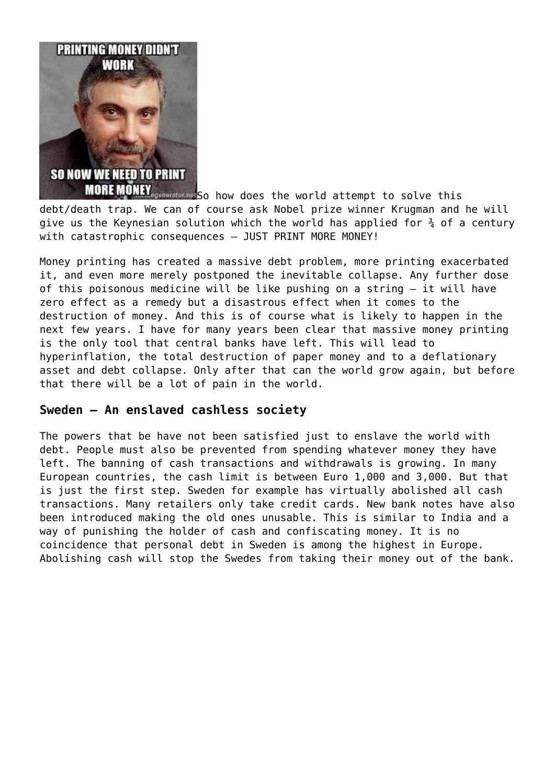

**MORE MONEY** equiped to how does the world attempt to solve this debt/death trap. We can of course ask Nobel prize winner Krugman and he will give us the Keynesian solution which the world has applied for  $\frac{3}{4}$  of a century with catastrophic consequences – JUST PRINT MORE MONEY!

Money printing has created a massive debt problem, more printing exacerbated it, and even more merely postponed the inevitable collapse. Any further dose of this poisonous medicine will be like pushing on a string – it will have zero effect as a remedy but a disastrous effect when it comes to the destruction of money. And this is of course what is likely to happen in the next few years. I have for many years been clear that massive money printing is the only tool that central banks have left. This will lead to hyperinflation, the total destruction of paper money and to a deflationary asset and debt collapse. Only after that can the world grow again, but before that there will be a lot of pain in the world.

# **Sweden – An enslaved cashless society**

The powers that be have not been satisfied just to enslave the world with debt. People must also be prevented from spending whatever money they have left. The banning of cash transactions and withdrawals is growing. In many European countries, the cash limit is between Euro 1,000 and 3,000. But that is just the first step. Sweden for example has virtually abolished all cash transactions. Many retailers only take credit cards. New bank notes have also been introduced making the old ones unusable. This is similar to India and a way of punishing the holder of cash and confiscating money. It is no coincidence that personal debt in Sweden is among the highest in Europe. Abolishing cash will stop the Swedes from taking their money out of the bank.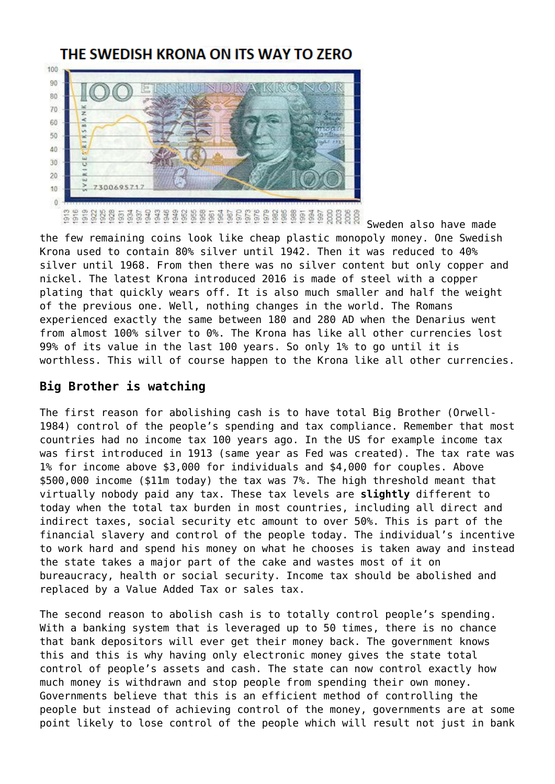# THE SWEDISH KRONA ON ITS WAY TO ZERO

100 90 80 70 60 50 40 30 20 10  $\alpha$ 

Sweden also have made the few remaining coins look like cheap plastic monopoly money. One Swedish Krona used to contain 80% silver until 1942. Then it was reduced to 40% silver until 1968. From then there was no silver content but only copper and nickel. The latest Krona introduced 2016 is made of steel with a copper plating that quickly wears off. It is also much smaller and half the weight of the previous one. Well, nothing changes in the world. The Romans experienced exactly the same between 180 and 280 AD when the Denarius went from almost 100% silver to 0%. The Krona has like all other currencies lost 99% of its value in the last 100 years. So only 1% to go until it is worthless. This will of course happen to the Krona like all other currencies.

# **Big Brother is watching**

 $55$ 

The first reason for abolishing cash is to have total Big Brother (Orwell-1984) control of the people's spending and tax compliance. Remember that most countries had no income tax 100 years ago. In the US for example income tax was first introduced in 1913 (same year as Fed was created). The tax rate was 1% for income above \$3,000 for individuals and \$4,000 for couples. Above \$500,000 income (\$11m today) the tax was 7%. The high threshold meant that virtually nobody paid any tax. These tax levels are **slightly** different to today when the total tax burden in most countries, including all direct and indirect taxes, social security etc amount to over 50%. This is part of the financial slavery and control of the people today. The individual's incentive to work hard and spend his money on what he chooses is taken away and instead the state takes a major part of the cake and wastes most of it on bureaucracy, health or social security. Income tax should be abolished and replaced by a Value Added Tax or sales tax.

The second reason to abolish cash is to totally control people's spending. With a banking system that is leveraged up to 50 times, there is no chance that bank depositors will ever get their money back. The government knows this and this is why having only electronic money gives the state total control of people's assets and cash. The state can now control exactly how much money is withdrawn and stop people from spending their own money. Governments believe that this is an efficient method of controlling the people but instead of achieving control of the money, governments are at some point likely to lose control of the people which will result not just in bank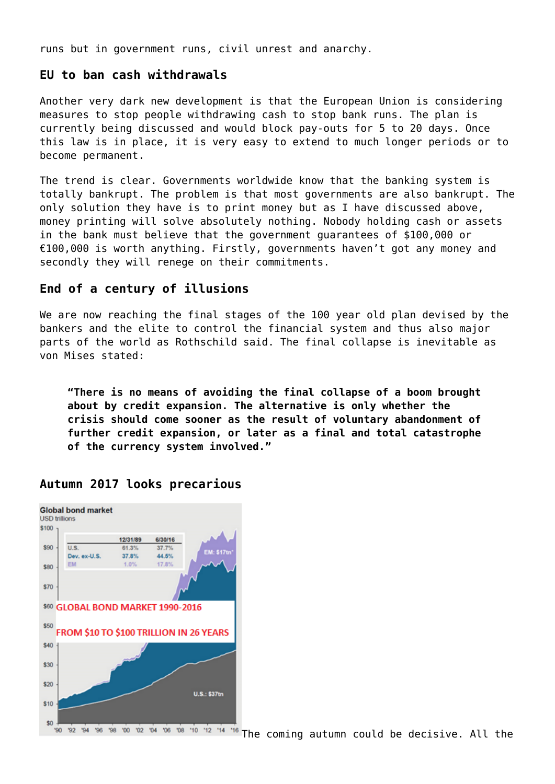runs but in government runs, civil unrest and anarchy.

# **EU to ban cash withdrawals**

Another very dark new development is that the European Union is considering measures to stop people withdrawing cash to stop bank runs. The plan is currently being discussed and would block pay-outs for 5 to 20 days. Once this law is in place, it is very easy to extend to much longer periods or to become permanent.

The trend is clear. Governments worldwide know that the banking system is totally bankrupt. The problem is that most governments are also bankrupt. The only solution they have is to print money but as I have discussed above, money printing will solve absolutely nothing. Nobody holding cash or assets in the bank must believe that the government guarantees of \$100,000 or €100,000 is worth anything. Firstly, governments haven't got any money and secondly they will renege on their commitments.

# **End of a century of illusions**

We are now reaching the final stages of the 100 year old plan devised by the bankers and the elite to control the financial system and thus also major parts of the world as Rothschild said. The final collapse is inevitable as von Mises stated:

**"There is no means of avoiding the final collapse of a boom brought about by credit expansion. The alternative is only whether the crisis should come sooner as the result of voluntary abandonment of further credit expansion, or later as a final and total catastrophe of the currency system involved."**



# **Autumn 2017 looks precarious**

The coming autumn could be decisive. All the